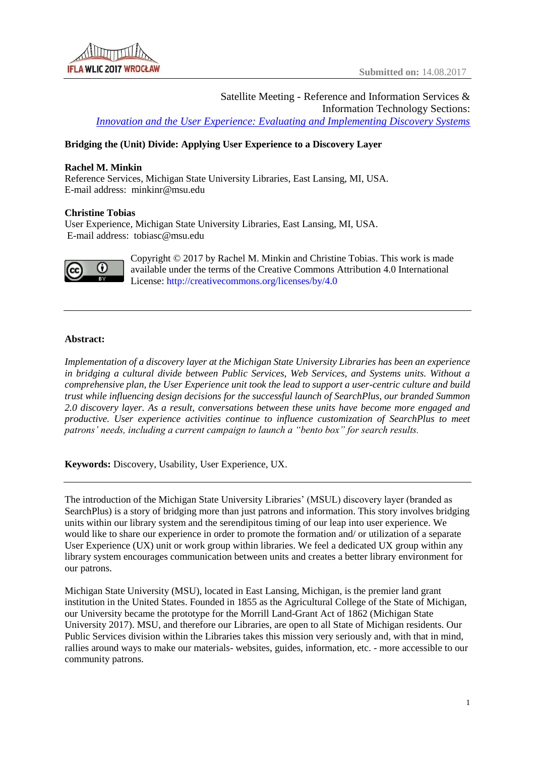

Satellite Meeting - Reference and Information Services & Information Technology Sections: *[Innovation and the User Experience: Evaluating and Implementing Discovery Systems](http://libapps.libraries.uc.edu/sites/ifla-riss-its-satelite/)*

# **Bridging the (Unit) Divide: Applying User Experience to a Discovery Layer**

# **Rachel M. Minkin**

Reference Services, Michigan State University Libraries, East Lansing, MI, USA. E-mail address: minkinr@msu.edu

## **Christine Tobias**

User Experience, Michigan State University Libraries, East Lansing, MI, USA. E-mail address: tobiasc@msu.edu



Copyright © 2017 by Rachel M. Minkin and Christine Tobias. This work is made available under the terms of the Creative Commons Attribution 4.0 International License: <http://creativecommons.org/licenses/by/4.0>

# **Abstract:**

*Implementation of a discovery layer at the Michigan State University Libraries has been an experience in bridging a cultural divide between Public Services, Web Services, and Systems units. Without a comprehensive plan, the User Experience unit took the lead to support a user-centric culture and build trust while influencing design decisions for the successful launch of SearchPlus, our branded Summon 2.0 discovery layer. As a result, conversations between these units have become more engaged and productive. User experience activities continue to influence customization of SearchPlus to meet patrons' needs, including a current campaign to launch a "bento box" for search results.*

**Keywords:** Discovery, Usability, User Experience, UX.

The introduction of the Michigan State University Libraries' (MSUL) discovery layer (branded as SearchPlus) is a story of bridging more than just patrons and information. This story involves bridging units within our library system and the serendipitous timing of our leap into user experience. We would like to share our experience in order to promote the formation and/ or utilization of a separate User Experience (UX) unit or work group within libraries. We feel a dedicated UX group within any library system encourages communication between units and creates a better library environment for our patrons.

Michigan State University (MSU), located in East Lansing, Michigan, is the premier land grant institution in the United States. Founded in 1855 as the Agricultural College of the State of Michigan, our University became the prototype for the Morrill Land-Grant Act of 1862 (Michigan State University 2017). MSU, and therefore our Libraries, are open to all State of Michigan residents. Our Public Services division within the Libraries takes this mission very seriously and, with that in mind, rallies around ways to make our materials- websites, guides, information, etc. - more accessible to our community patrons.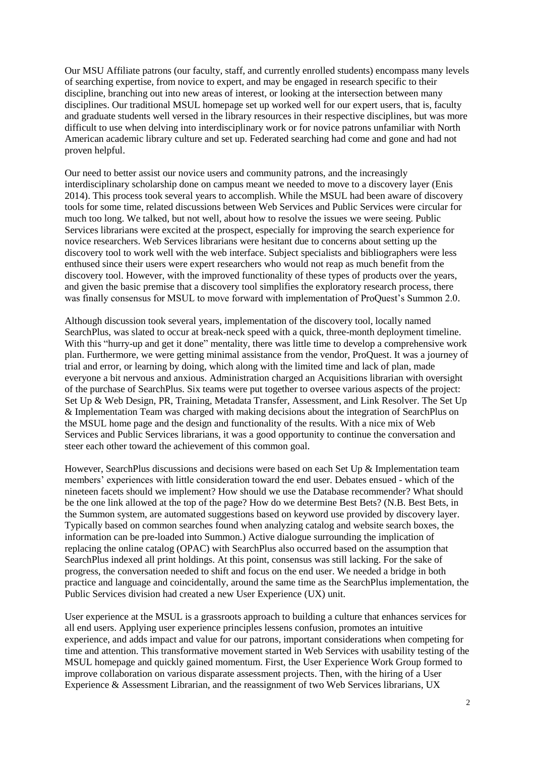Our MSU Affiliate patrons (our faculty, staff, and currently enrolled students) encompass many levels of searching expertise, from novice to expert, and may be engaged in research specific to their discipline, branching out into new areas of interest, or looking at the intersection between many disciplines. Our traditional MSUL homepage set up worked well for our expert users, that is, faculty and graduate students well versed in the library resources in their respective disciplines, but was more difficult to use when delving into interdisciplinary work or for novice patrons unfamiliar with North American academic library culture and set up. Federated searching had come and gone and had not proven helpful.

Our need to better assist our novice users and community patrons, and the increasingly interdisciplinary scholarship done on campus meant we needed to move to a discovery layer (Enis 2014). This process took several years to accomplish. While the MSUL had been aware of discovery tools for some time, related discussions between Web Services and Public Services were circular for much too long. We talked, but not well, about how to resolve the issues we were seeing. Public Services librarians were excited at the prospect, especially for improving the search experience for novice researchers. Web Services librarians were hesitant due to concerns about setting up the discovery tool to work well with the web interface. Subject specialists and bibliographers were less enthused since their users were expert researchers who would not reap as much benefit from the discovery tool. However, with the improved functionality of these types of products over the years, and given the basic premise that a discovery tool simplifies the exploratory research process, there was finally consensus for MSUL to move forward with implementation of ProQuest's Summon 2.0.

Although discussion took several years, implementation of the discovery tool, locally named SearchPlus, was slated to occur at break-neck speed with a quick, three-month deployment timeline. With this "hurry-up and get it done" mentality, there was little time to develop a comprehensive work plan. Furthermore, we were getting minimal assistance from the vendor, ProQuest. It was a journey of trial and error, or learning by doing, which along with the limited time and lack of plan, made everyone a bit nervous and anxious. Administration charged an Acquisitions librarian with oversight of the purchase of SearchPlus. Six teams were put together to oversee various aspects of the project: Set Up & Web Design, PR, Training, Metadata Transfer, Assessment, and Link Resolver. The Set Up & Implementation Team was charged with making decisions about the integration of SearchPlus on the MSUL home page and the design and functionality of the results. With a nice mix of Web Services and Public Services librarians, it was a good opportunity to continue the conversation and steer each other toward the achievement of this common goal.

However, SearchPlus discussions and decisions were based on each Set Up & Implementation team members' experiences with little consideration toward the end user. Debates ensued - which of the nineteen facets should we implement? How should we use the Database recommender? What should be the one link allowed at the top of the page? How do we determine Best Bets? (N.B. Best Bets, in the Summon system, are automated suggestions based on keyword use provided by discovery layer. Typically based on common searches found when analyzing catalog and website search boxes, the information can be pre-loaded into Summon.) Active dialogue surrounding the implication of replacing the online catalog (OPAC) with SearchPlus also occurred based on the assumption that SearchPlus indexed all print holdings. At this point, consensus was still lacking. For the sake of progress, the conversation needed to shift and focus on the end user. We needed a bridge in both practice and language and coincidentally, around the same time as the SearchPlus implementation, the Public Services division had created a new User Experience (UX) unit.

User experience at the MSUL is a grassroots approach to building a culture that enhances services for all end users. Applying user experience principles lessens confusion, promotes an intuitive experience, and adds impact and value for our patrons, important considerations when competing for time and attention. This transformative movement started in Web Services with usability testing of the MSUL homepage and quickly gained momentum. First, the User Experience Work Group formed to improve collaboration on various disparate assessment projects. Then, with the hiring of a User Experience & Assessment Librarian, and the reassignment of two Web Services librarians, UX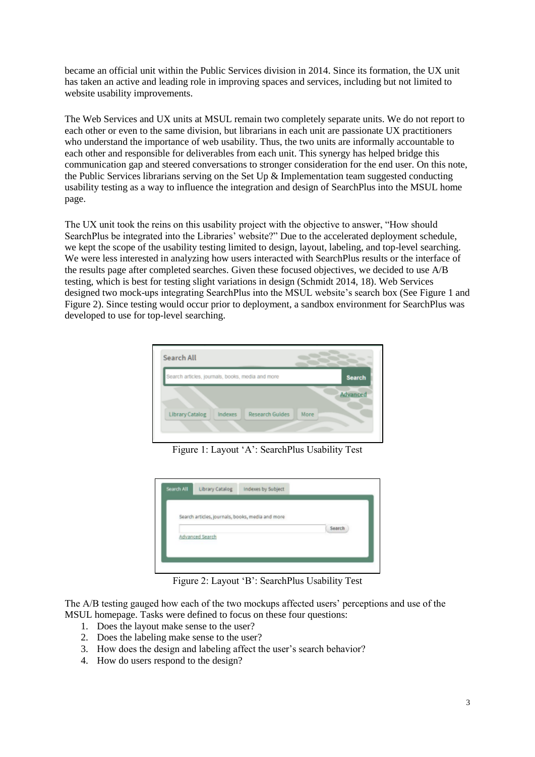became an official unit within the Public Services division in 2014. Since its formation, the UX unit has taken an active and leading role in improving spaces and services, including but not limited to website usability improvements.

The Web Services and UX units at MSUL remain two completely separate units. We do not report to each other or even to the same division, but librarians in each unit are passionate UX practitioners who understand the importance of web usability. Thus, the two units are informally accountable to each other and responsible for deliverables from each unit. This synergy has helped bridge this communication gap and steered conversations to stronger consideration for the end user. On this note, the Public Services librarians serving on the Set Up & Implementation team suggested conducting usability testing as a way to influence the integration and design of SearchPlus into the MSUL home page.

The UX unit took the reins on this usability project with the objective to answer, "How should SearchPlus be integrated into the Libraries' website?" Due to the accelerated deployment schedule, we kept the scope of the usability testing limited to design, layout, labeling, and top-level searching. We were less interested in analyzing how users interacted with SearchPlus results or the interface of the results page after completed searches. Given these focused objectives, we decided to use A/B testing, which is best for testing slight variations in design (Schmidt 2014, 18). Web Services designed two mock-ups integrating SearchPlus into the MSUL website's search box (See Figure 1 and Figure 2). Since testing would occur prior to deployment, a sandbox environment for SearchPlus was developed to use for top-level searching.



Figure 1: Layout 'A': SearchPlus Usability Test



Figure 2: Layout 'B': SearchPlus Usability Test

The A/B testing gauged how each of the two mockups affected users' perceptions and use of the MSUL homepage. Tasks were defined to focus on these four questions:

- 1. Does the layout make sense to the user?
- 2. Does the labeling make sense to the user?
- 3. How does the design and labeling affect the user's search behavior?
- 4. How do users respond to the design?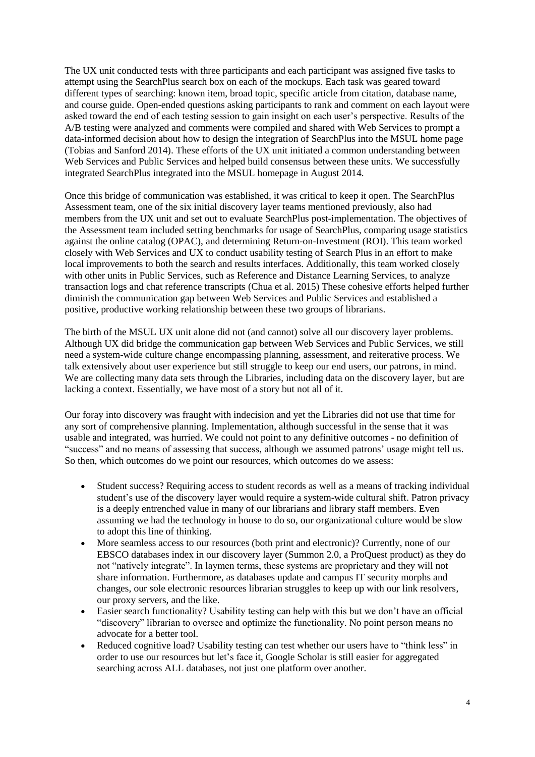The UX unit conducted tests with three participants and each participant was assigned five tasks to attempt using the SearchPlus search box on each of the mockups. Each task was geared toward different types of searching: known item, broad topic, specific article from citation, database name, and course guide. Open-ended questions asking participants to rank and comment on each layout were asked toward the end of each testing session to gain insight on each user's perspective. Results of the A/B testing were analyzed and comments were compiled and shared with Web Services to prompt a data-informed decision about how to design the integration of SearchPlus into the MSUL home page (Tobias and Sanford 2014). These efforts of the UX unit initiated a common understanding between Web Services and Public Services and helped build consensus between these units. We successfully integrated SearchPlus integrated into the MSUL homepage in August 2014.

Once this bridge of communication was established, it was critical to keep it open. The SearchPlus Assessment team, one of the six initial discovery layer teams mentioned previously, also had members from the UX unit and set out to evaluate SearchPlus post-implementation. The objectives of the Assessment team included setting benchmarks for usage of SearchPlus, comparing usage statistics against the online catalog (OPAC), and determining Return-on-Investment (ROI). This team worked closely with Web Services and UX to conduct usability testing of Search Plus in an effort to make local improvements to both the search and results interfaces. Additionally, this team worked closely with other units in Public Services, such as Reference and Distance Learning Services, to analyze transaction logs and chat reference transcripts (Chua et al. 2015) These cohesive efforts helped further diminish the communication gap between Web Services and Public Services and established a positive, productive working relationship between these two groups of librarians.

The birth of the MSUL UX unit alone did not (and cannot) solve all our discovery layer problems. Although UX did bridge the communication gap between Web Services and Public Services, we still need a system-wide culture change encompassing planning, assessment, and reiterative process. We talk extensively about user experience but still struggle to keep our end users, our patrons, in mind. We are collecting many data sets through the Libraries, including data on the discovery layer, but are lacking a context. Essentially, we have most of a story but not all of it.

Our foray into discovery was fraught with indecision and yet the Libraries did not use that time for any sort of comprehensive planning. Implementation, although successful in the sense that it was usable and integrated, was hurried. We could not point to any definitive outcomes - no definition of "success" and no means of assessing that success, although we assumed patrons' usage might tell us. So then, which outcomes do we point our resources, which outcomes do we assess:

- Student success? Requiring access to student records as well as a means of tracking individual student's use of the discovery layer would require a system-wide cultural shift. Patron privacy is a deeply entrenched value in many of our librarians and library staff members. Even assuming we had the technology in house to do so, our organizational culture would be slow to adopt this line of thinking.
- More seamless access to our resources (both print and electronic)? Currently, none of our EBSCO databases index in our discovery layer (Summon 2.0, a ProQuest product) as they do not "natively integrate". In laymen terms, these systems are proprietary and they will not share information. Furthermore, as databases update and campus IT security morphs and changes, our sole electronic resources librarian struggles to keep up with our link resolvers, our proxy servers, and the like.
- Easier search functionality? Usability testing can help with this but we don't have an official "discovery" librarian to oversee and optimize the functionality. No point person means no advocate for a better tool.
- Reduced cognitive load? Usability testing can test whether our users have to "think less" in order to use our resources but let's face it, Google Scholar is still easier for aggregated searching across ALL databases, not just one platform over another.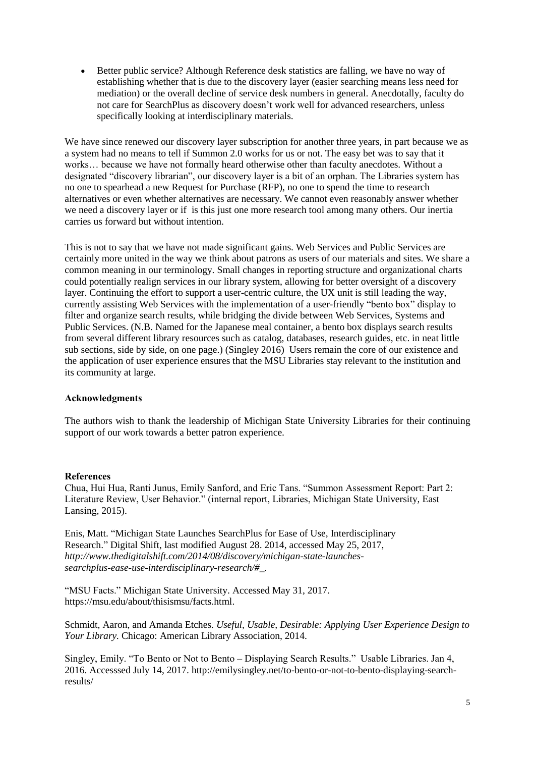• Better public service? Although Reference desk statistics are falling, we have no way of establishing whether that is due to the discovery layer (easier searching means less need for mediation) or the overall decline of service desk numbers in general. Anecdotally, faculty do not care for SearchPlus as discovery doesn't work well for advanced researchers, unless specifically looking at interdisciplinary materials.

We have since renewed our discovery layer subscription for another three years, in part because we as a system had no means to tell if Summon 2.0 works for us or not. The easy bet was to say that it works… because we have not formally heard otherwise other than faculty anecdotes. Without a designated "discovery librarian", our discovery layer is a bit of an orphan. The Libraries system has no one to spearhead a new Request for Purchase (RFP), no one to spend the time to research alternatives or even whether alternatives are necessary. We cannot even reasonably answer whether we need a discovery layer or if is this just one more research tool among many others. Our inertia carries us forward but without intention.

This is not to say that we have not made significant gains. Web Services and Public Services are certainly more united in the way we think about patrons as users of our materials and sites. We share a common meaning in our terminology. Small changes in reporting structure and organizational charts could potentially realign services in our library system, allowing for better oversight of a discovery layer. Continuing the effort to support a user-centric culture, the UX unit is still leading the way, currently assisting Web Services with the implementation of a user-friendly "bento box" display to filter and organize search results, while bridging the divide between Web Services, Systems and Public Services. (N.B. Named for the Japanese meal container, a bento box displays search results from several different library resources such as catalog, databases, research guides, etc. in neat little sub sections, side by side, on one page.) (Singley 2016) Users remain the core of our existence and the application of user experience ensures that the MSU Libraries stay relevant to the institution and its community at large.

## **Acknowledgments**

The authors wish to thank the leadership of Michigan State University Libraries for their continuing support of our work towards a better patron experience.

#### **References**

Chua, Hui Hua, Ranti Junus, Emily Sanford, and Eric Tans. "Summon Assessment Report: Part 2: Literature Review, User Behavior." (internal report, Libraries, Michigan State University, East Lansing, 2015).

Enis, Matt. "Michigan State Launches SearchPlus for Ease of Use, Interdisciplinary Research." Digital Shift, last modified August 28. 2014, accessed May 25, 2017, *http://www.thedigitalshift.com/2014/08/discovery/michigan-state-launchessearchplus-ease-use-interdisciplinary-research/#\_.*

"MSU Facts." Michigan State University. Accessed May 31, 2017. https://msu.edu/about/thisismsu/facts.html.

Schmidt, Aaron, and Amanda Etches. *Useful, Usable, Desirable: Applying User Experience Design to Your Library.* Chicago: American Library Association, 2014.

Singley, Emily. "To Bento or Not to Bento – Displaying Search Results." Usable Libraries. Jan 4, 2016. Accesssed July 14, 2017. http://emilysingley.net/to-bento-or-not-to-bento-displaying-searchresults/